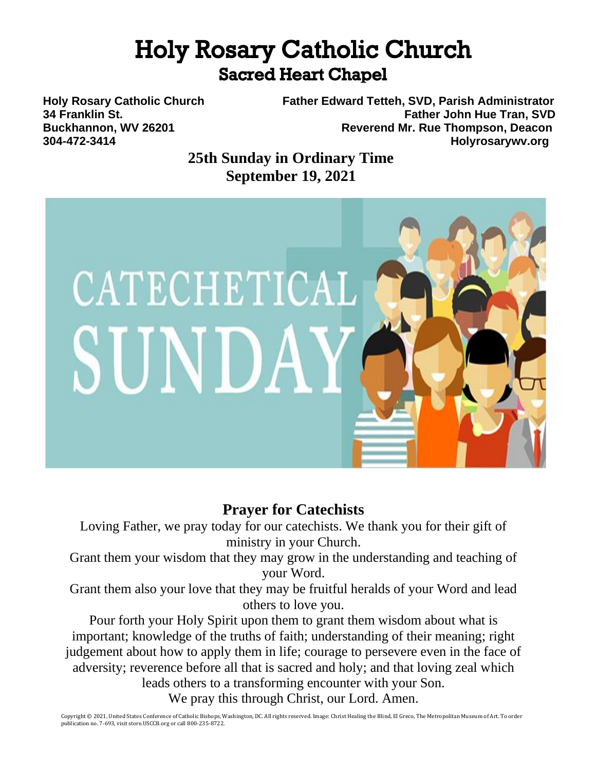# **Holy Rosary Catholic Church Sacred Heart Chapel**

**Holy Rosary Catholic Church Father Edward Tetteh, SVD, Parish Administrator 34 Franklin St. Father John Hue Tran, SVD Buckhannon, WV 26201 Reverend Mr. Rue Thompson, Deacon 304-472-3414 Holyrosarywv.org**

> **25th Sunday in Ordinary Time September 19, 2021**



# **Prayer for Catechists**

Loving Father, we pray today for our catechists. We thank you for their gift of ministry in your Church.

Grant them your wisdom that they may grow in the understanding and teaching of your Word.

Grant them also your love that they may be fruitful heralds of your Word and lead others to love you.

Pour forth your Holy Spirit upon them to grant them wisdom about what is important; knowledge of the truths of faith; understanding of their meaning; right judgement about how to apply them in life; courage to persevere even in the face of adversity; reverence before all that is sacred and holy; and that loving zeal which

leads others to a transforming encounter with your Son. We pray this through Christ, our Lord. Amen.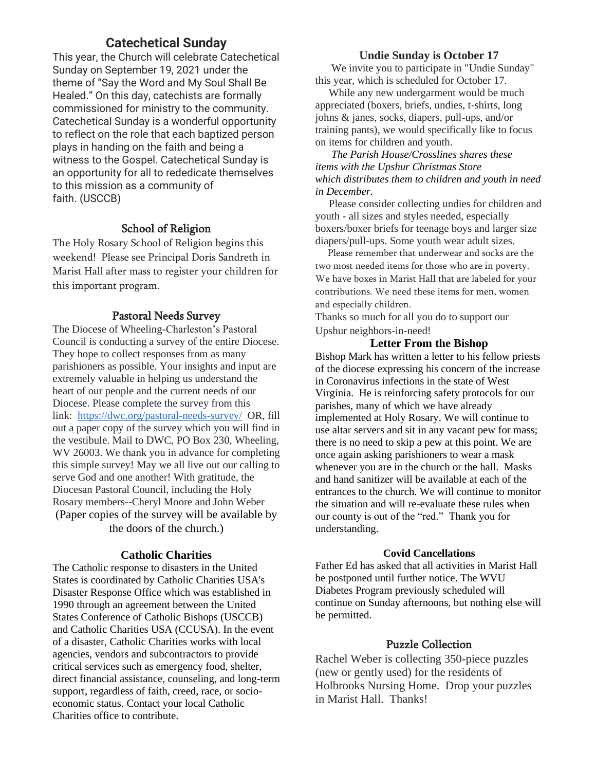## **Catechetical Sunday**

This year, the Church will celebrate Catechetical Sunday on September 19, 2021 under the theme of "Say the Word and My Soul Shall Be Healed." On this day, catechists are formally commissioned for ministry to the community. Catechetical Sunday is a wonderful opportunity to reflect on the role that each baptized person plays in handing on the faith and being a witness to the Gospel. Catechetical Sunday is an opportunity for all to rededicate themselves to this mission as a community of faith. (USCCB)

### School of Religion

The Holy Rosary School of Religion begins this weekend! Please see Principal Doris Sandreth in Marist Hall after mass to register your children for this important program.

### Pastoral Needs Survey

The Diocese of Wheeling-Charleston's Pastoral Council is conducting a survey of the entire Diocese. They hope to collect responses from as many parishioners as possible. Your insights and input are extremely valuable in helping us understand the heart of our people and the current needs of our Diocese. Please complete the survey from this link: <https://dwc.org/pastoral-needs-survey/> OR, fill out a paper copy of the survey which you will find in the vestibule. Mail to DWC, PO Box 230, Wheeling, WV 26003. We thank you in advance for completing this simple survey! May we all live out our calling to serve God and one another! With gratitude, the Diocesan Pastoral Council, including the Holy Rosary members--Cheryl Moore and John Weber (Paper copies of the survey will be available by the doors of the church.)

#### **Catholic Charities**

The Catholic response to disasters in the United States is coordinated by Catholic Charities USA's Disaster Response Office which was established in 1990 through an agreement between the United States Conference of Catholic Bishops (USCCB) and Catholic Charities USA (CCUSA). In the event of a disaster, Catholic Charities works with local agencies, vendors and subcontractors to provide critical services such as emergency food, shelter, direct financial assistance, counseling, and long-term support, regardless of faith, creed, race, or socioeconomic status. Contact your local Catholic Charities office to contribute.

### **Undie Sunday is October 17**

 We invite you to participate in "Undie Sunday" this year, which is scheduled for October 17.

While any new undergarment would be much appreciated (boxers, briefs, undies, t-shirts, long johns & janes, socks, diapers, pull-ups, and/or training pants), we would specifically like to focus on items for children and youth.

 *The Parish House/Crosslines shares these items with the Upshur Christmas Store which distributes them to children and youth in need in December.* 

 Please consider collecting undies for children and youth - all sizes and styles needed, especially boxers/boxer briefs for teenage boys and larger size diapers/pull-ups. Some youth wear adult sizes.

 Please remember that underwear and socks are the two most needed items for those who are in poverty. We have boxes in Marist Hall that are labeled for your contributions. We need these items for men, women and especially children.

Thanks so much for all you do to support our Upshur neighbors-in-need!

#### **Letter From the Bishop**

Bishop Mark has written a letter to his fellow priests of the diocese expressing his concern of the increase in Coronavirus infections in the state of West Virginia. He is reinforcing safety protocols for our parishes, many of which we have already implemented at Holy Rosary. We will continue to use altar servers and sit in any vacant pew for mass; there is no need to skip a pew at this point. We are once again asking parishioners to wear a mask whenever you are in the church or the hall. Masks and hand sanitizer will be available at each of the entrances to the church. We will continue to monitor the situation and will re-evaluate these rules when our county is out of the "red." Thank you for understanding.

#### **Covid Cancellations**

Father Ed has asked that all activities in Marist Hall be postponed until further notice. The WVU Diabetes Program previously scheduled will continue on Sunday afternoons, but nothing else will be permitted.

### Puzzle Collection

Rachel Weber is collecting 350-piece puzzles (new or gently used) for the residents of Holbrooks Nursing Home. Drop your puzzles in Marist Hall. Thanks!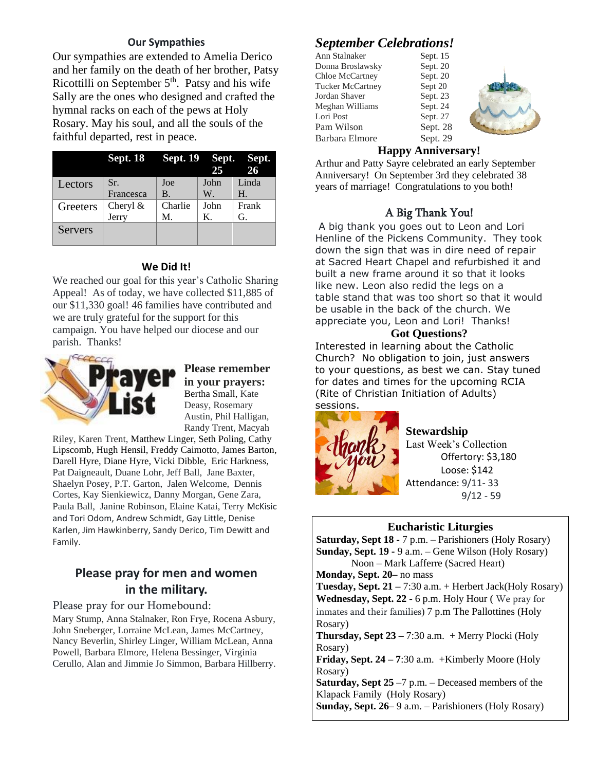### **Our Sympathies**

Our sympathies are extended to Amelia Derico and her family on the death of her brother, Patsy Ricottilli on September  $5<sup>th</sup>$ . Patsy and his wife Sally are the ones who designed and crafted the hymnal racks on each of the pews at Holy Rosary. May his soul, and all the souls of the faithful departed, rest in peace.

|          | Sept. 18 Sept. 19 Sept. Sept. |           | 25   | 26          |
|----------|-------------------------------|-----------|------|-------------|
| Lectors  | Sr.                           | Joe       | John | Linda       |
|          | Francesca                     | <b>B.</b> | W.   | $H_{\cdot}$ |
| Greeters | Cheryl $&$                    | Charlie   | John | Frank       |
|          | Jerry                         | M.        | Κ.   | G.          |
| Servers  |                               |           |      |             |

### **We Did It!**

We reached our goal for this year's Catholic Sharing Appeal! As of today, we have collected \$11,885 of our \$11,330 goal! 46 families have contributed and we are truly grateful for the support for this campaign. You have helped our diocese and our parish. Thanks!



**Please remember in your prayers:** Bertha Small, Kate Deasy, Rosemary Austin, Phil Halligan, Randy Trent, Macyah

Riley, Karen Trent, Matthew Linger, Seth Poling, Cathy Lipscomb, Hugh Hensil, Freddy Caimotto, James Barton, Darell Hyre, Diane Hyre, Vicki Dibble, Eric Harkness, Pat Daigneault, Duane Lohr, Jeff Ball, Jane Baxter, Shaelyn Posey, P.T. Garton, Jalen Welcome, Dennis Cortes, Kay Sienkiewicz, Danny Morgan, Gene Zara, Paula Ball, Janine Robinson, Elaine Katai, Terry McKisic and Tori Odom, Andrew Schmidt, Gay Little, Denise Karlen, Jim Hawkinberry, Sandy Derico, Tim Dewitt and Family.

## **Please pray for men and women in the military.**

Please pray for our Homebound:

Mary Stump, Anna Stalnaker, Ron Frye, Rocena Asbury, John Sneberger, Lorraine McLean, James McCartney, Nancy Beverlin, Shirley Linger, William McLean, Anna Powell, Barbara Elmore, Helena Bessinger, Virginia Cerullo, Alan and Jimmie Jo Simmon, Barbara Hillberry.

## *September Celebrations!*

| Ann Stalnaker           | Sept. 15 |
|-------------------------|----------|
| Donna Broslawsky        | Sept. 20 |
| <b>Chloe McCartney</b>  | Sept. 20 |
| <b>Tucker McCartney</b> | Sept 20  |
| Jordan Shaver           | Sept. 23 |
| Meghan Williams         | Sept. 24 |
| Lori Post               | Sept. 27 |
| Pam Wilson              | Sept. 28 |
| Barbara Elmore          | Sept. 29 |

### **Happy Anniversary!**

Arthur and Patty Sayre celebrated an early September Anniversary! On September 3rd they celebrated 38 years of marriage! Congratulations to you both!

### A Big Thank You!

A big thank you goes out to Leon and Lori Henline of the Pickens Community. They took down the sign that was in dire need of repair at Sacred Heart Chapel and refurbished it and built a new frame around it so that it looks like new. Leon also redid the legs on a table stand that was too short so that it would be usable in the back of the church. We appreciate you, Leon and Lori! Thanks!

### **Got Questions?**

Interested in learning about the Catholic Church? No obligation to join, just answers to your questions, as best we can. Stay tuned for dates and times for the upcoming RCIA (Rite of Christian Initiation of Adults) sessions.



### **Stewardship**

Last Week's Collection Offertory: \$3,180 Loose: \$142 Attendance: 9/11- 33 9/12 - 59

### **Eucharistic Liturgies**

**Saturday, Sept 18 -** 7 p.m. – Parishioners (Holy Rosary) **Sunday, Sept. 19 -** 9 a.m. – Gene Wilson (Holy Rosary) Noon – Mark Lafferre (Sacred Heart) **Monday, Sept. 20–** no mass **Tuesday, Sept. 21 –** 7:30 a.m. + Herbert Jack(Holy Rosary) **Wednesday, Sept. 22 -** 6 p.m. Holy Hour ( We pray for inmates and their families) 7 p.m The Pallottines (Holy Rosary) **Thursday, Sept 23 –** 7:30 a.m. + Merry Plocki (Holy Rosary) **Friday, Sept. 24 – 7**:30 a.m. +Kimberly Moore (Holy Rosary)

**Saturday, Sept 25** –7 p.m. – Deceased members of the Klapack Family (Holy Rosary)

**Sunday, Sept. 26–** 9 a.m. – Parishioners (Holy Rosary)